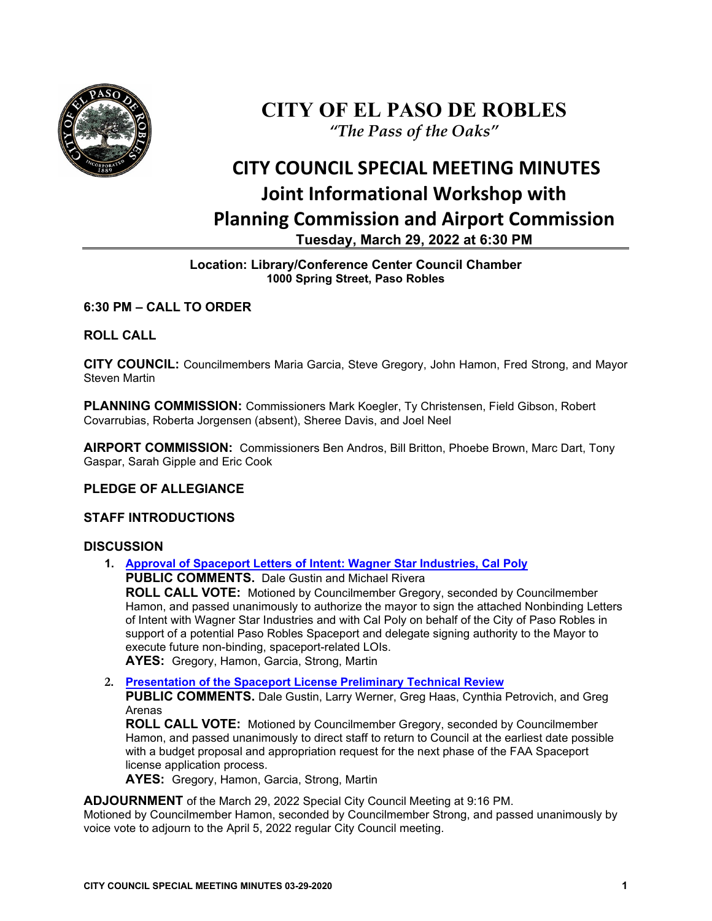

## **CITY OF EL PASO DE ROBLES** *"The Pass of the Oaks"*

# **CITY COUNCIL SPECIAL MEETING MINUTES Joint Informational Workshop with Planning Commission and Airport Commission Tuesday, March 29, 2022 at 6:30 PM**

#### **Location: Library/Conference Center Council Chamber 1000 Spring Street, Paso Robles**

#### **6:30 PM – CALL TO ORDER**

#### **ROLL CALL**

**CITY COUNCIL:** Councilmembers Maria Garcia, Steve Gregory, John Hamon, Fred Strong, and Mayor Steven Martin

**PLANNING COMMISSION:** Commissioners Mark Koegler, Ty Christensen, Field Gibson, Robert Covarrubias, Roberta Jorgensen (absent), Sheree Davis, and Joel Neel

**AIRPORT COMMISSION:** Commissioners Ben Andros, Bill Britton, Phoebe Brown, Marc Dart, Tony Gaspar, Sarah Gipple and Eric Cook

### **PLEDGE OF ALLEGIANCE**

#### **STAFF INTRODUCTIONS**

#### **DISCUSSION**

**1. [Approval of Spaceport Letters of Intent: Wagner Star Industries, Cal Poly](https://www.prcity.com/DocumentCenter/View/33381/March-29-2022-City-Council-Special-Agenda-Item-01-PDF) PUBLIC COMMENTS.** Dale Gustin and Michael Rivera

**ROLL CALL VOTE:** Motioned by Councilmember Gregory, seconded by Councilmember Hamon, and passed unanimously to authorize the mayor to sign the attached Nonbinding Letters of Intent with Wagner Star Industries and with Cal Poly on behalf of the City of Paso Robles in support of a potential Paso Robles Spaceport and delegate signing authority to the Mayor to execute future non-binding, spaceport-related LOIs.

**AYES:** Gregory, Hamon, Garcia, Strong, Martin

- **2. [Presentation of the Spaceport License Preliminary Technical Review](https://www.prcity.com/DocumentCenter/View/33382/March-29-2022-City-Council-Special-Agenda-Item-02-PDF)**
	- **PUBLIC COMMENTS.** Dale Gustin, Larry Werner, Greg Haas, Cynthia Petrovich, and Greg Arenas

**ROLL CALL VOTE:** Motioned by Councilmember Gregory, seconded by Councilmember Hamon, and passed unanimously to direct staff to return to Council at the earliest date possible with a budget proposal and appropriation request for the next phase of the FAA Spaceport license application process.

**AYES:** Gregory, Hamon, Garcia, Strong, Martin

**ADJOURNMENT** of the March 29, 2022 Special City Council Meeting at 9:16 PM.

Motioned by Councilmember Hamon, seconded by Councilmember Strong, and passed unanimously by voice vote to adjourn to the April 5, 2022 regular City Council meeting.